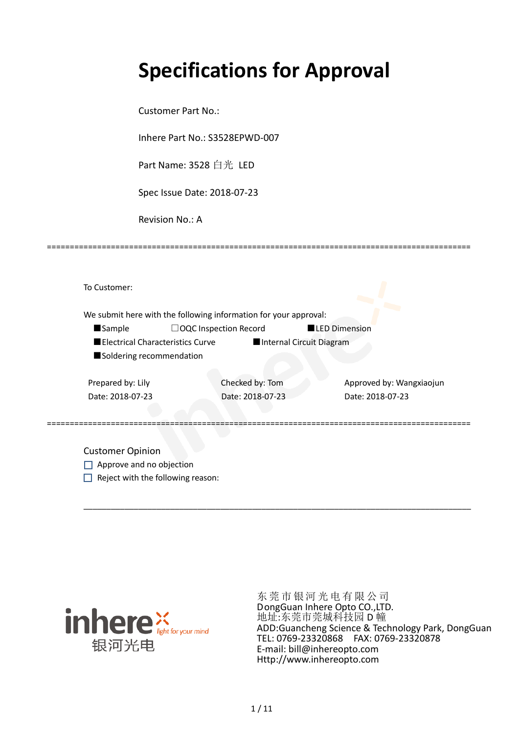# **Specifications for Approval**

Customer Part No.:

Inhere Part No.: S3528EPWD-007

Part Name: 3528 白光 LED

Spec Issue Date: 2018-07-23

Revision No.: A

|                          |                                  | We submit here with the following information for your approval: |                          |                          |
|--------------------------|----------------------------------|------------------------------------------------------------------|--------------------------|--------------------------|
| <b>Sample</b>            | $\Box$ OQC Inspection Record     |                                                                  | <b>LED Dimension</b>     |                          |
|                          | Electrical Characteristics Curve |                                                                  | Internal Circuit Diagram |                          |
| Soldering recommendation |                                  |                                                                  |                          |                          |
| Prepared by: Lily        |                                  | Checked by: Tom                                                  |                          | Approved by: Wangxiaojun |
| Date: 2018-07-23         |                                  | Date: 2018-07-23                                                 |                          | Date: 2018-07-23         |
|                          |                                  |                                                                  |                          |                          |

\_\_\_\_\_\_\_\_\_\_\_\_\_\_\_\_\_\_\_\_\_\_\_\_\_\_\_\_\_\_\_\_\_\_\_\_\_\_\_\_\_\_\_\_\_\_\_\_\_\_\_\_\_\_\_\_\_\_\_\_\_\_\_\_\_\_\_\_\_\_\_\_\_\_\_\_\_\_\_\_\_\_\_\_\_

=============================================================================================

Approve and no objection

 $\Box$  Reject with the following reason:



东莞市银河光 电有限公司 DongGuan Inhere Opto CO.,LTD. 地址:东莞市莞城科技园 D 幢 ADD:Guancheng Science & Technology Park, DongGuan TEL: 0769-23320868 FAX: 0769-23320878 E-mail: bill@inhereopto.com [Http://www.inhereopto.com](http://www.inhereopto.com/)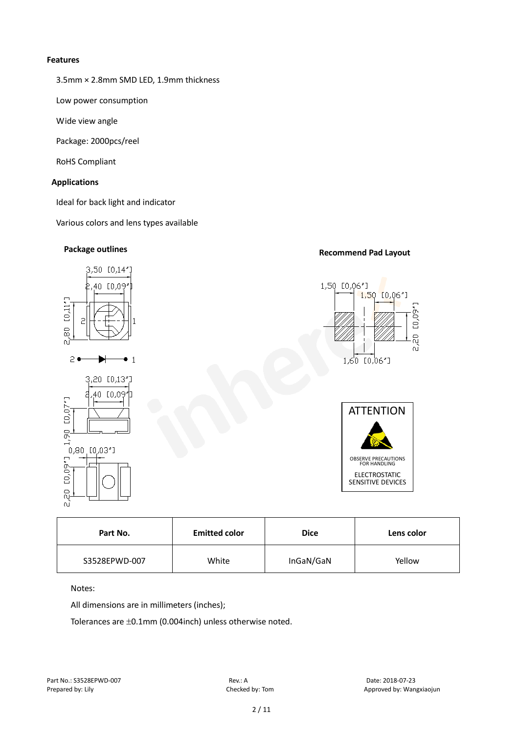#### **Features**

3.5mm × 2.8mm SMD LED, 1.9mm thickness

Low power consumption

Wide view angle

Package: 2000pcs/reel

RoHS Compliant

# **Applications**

Ideal for back light and indicator

Various colors and lens types available

# **Recommend Pad Layout Package outlines** 3,50 [0,14"] 1,50 [0,06"] 40 E0.09 1,50 [0,06"]  $[0,11"$  $\frac{1}{8}$  $2 \bullet$  $\bullet$  1 1,60 IO,06"I 3,20 [0,13"] 40 [0.09  $[0,07"$ **ATTENTION** 1,90  $0,80,10,03"$ ]  $[0,09"$ ] OBSERVE PRECAUTIONS FOR HANDLING ELECTROSTATIC SENSITIVE DEVICES

| Part No.      | <b>Emitted color</b> | <b>Dice</b> | Lens color |  |
|---------------|----------------------|-------------|------------|--|
| S3528EPWD-007 | White                | InGaN/GaN   | Yellow     |  |

# Notes:

 $\overline{c}$  $\tilde{\Omega}$ 

All dimensions are in millimeters (inches);

Tolerances are ±0.1mm (0.004inch) unless otherwise noted.

 $[0, 09"$ 

g ΩÎ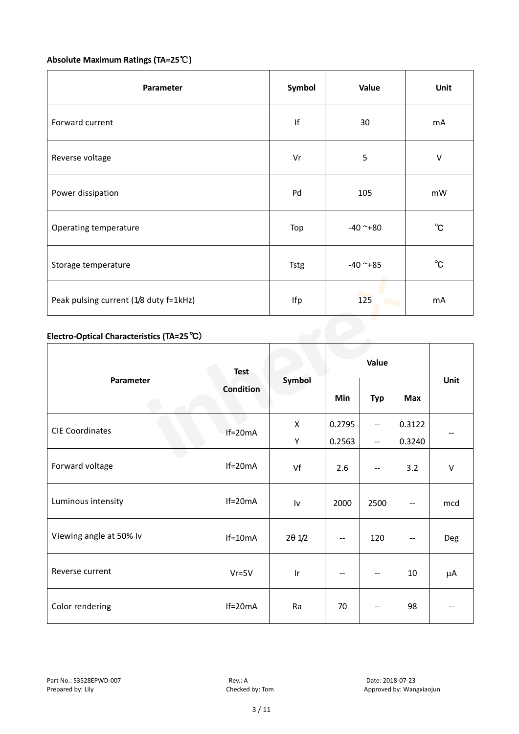# **Absolute Maximum Ratings (TA=25**℃**)**

| Parameter                                  | Symbol      | Value      | Unit           |
|--------------------------------------------|-------------|------------|----------------|
| Forward current                            | f           | 30         | mA             |
| Reverse voltage                            | Vr          | 5          | $\sf V$        |
| Power dissipation                          | Pd          | 105        | mW             |
| Operating temperature                      | Top         | $-40$ ~+80 | $^{\circ}$ C   |
| Storage temperature                        | <b>Tstg</b> | $-40$ ~+85 | $^{\circ}$ C   |
| Peak pulsing current (1/8 duty f=1kHz)     | Ifp         | 125        | m <sub>A</sub> |
| Electro-Optical Characteristics (TA=25 °C) |             |            |                |

# **Electro-Optical Characteristics (TA=25**℃)

|                         | <b>Test</b><br><b>Condition</b> | Symbol                  | Value             |                                               |                          |         |
|-------------------------|---------------------------------|-------------------------|-------------------|-----------------------------------------------|--------------------------|---------|
| Parameter               |                                 |                         | Min               | <b>Typ</b>                                    | <b>Max</b>               | Unit    |
| <b>CIE Coordinates</b>  | $If=20mA$                       | X                       | 0.2795            | $\mathord{\hspace{1pt}\text{--}\hspace{1pt}}$ | 0.3122                   |         |
|                         |                                 | Υ                       | 0.2563            | $-$                                           | 0.3240                   |         |
| Forward voltage         | $If=20mA$                       | Vf                      | 2.6               | $\overline{\phantom{a}}$                      | 3.2                      | $\sf V$ |
| Luminous intensity      | $If=20mA$                       | $\mathsf{I}\mathsf{v}$  | 2000              | 2500                                          | $\overline{\phantom{m}}$ | mcd     |
| Viewing angle at 50% lv | $If=10mA$                       | $2\theta$ $1/2$         | $\qquad \qquad -$ | 120                                           |                          | Deg     |
| Reverse current         | $Vr = 5V$                       | $\mathsf{I} \mathsf{r}$ | $-$               | $\overline{\phantom{m}}$                      | 10                       | μA      |
| Color rendering         | $If=20mA$                       | Ra                      | 70                |                                               | 98                       |         |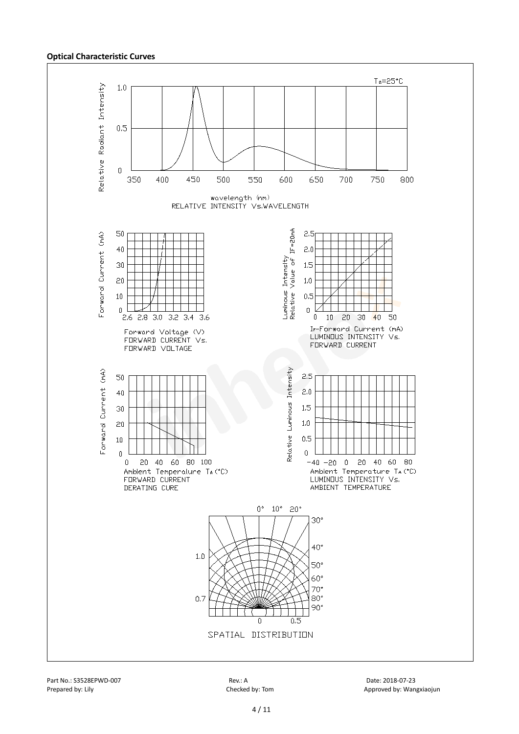#### **Optical Characteristic Curves**



Part No.: S3528EPWD-007 **Rev.: A** Rev.: A Rev.: A Date: 2018-07-23

Prepared by: Lily Checked by: Tom Checked by: Tom Approved by: Wangxiaojun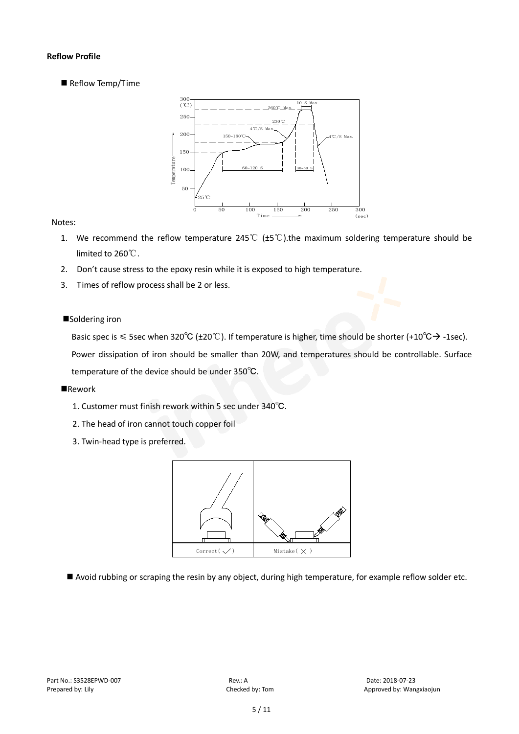# **Reflow Profile**

Reflow Temp/Time



## Notes:

- 1. We recommend the reflow temperature 245°C ( $\pm$ 5°C).the maximum soldering temperature should be limited to 260℃.
- 2. Don't cause stress to the epoxy resin while it is exposed to high temperature.
- 3. Times of reflow process shall be 2 or less.

#### ■Soldering iron

Basic spec is  $\leq$  5sec when 320°C (±20°C). If temperature is higher, time should be shorter (+10°C $\rightarrow$ -1sec).

Power dissipation of iron should be smaller than 20W, and temperatures should be controllable. Surface temperature of the device should be under 350℃.

#### **Rework**

- 1. Customer must finish rework within 5 sec under 340℃.
- 2. The head of iron cannot touch copper foil
- 3. Twin-head type is preferred.



Avoid rubbing or scraping the resin by any object, during high temperature, for example reflow solder etc.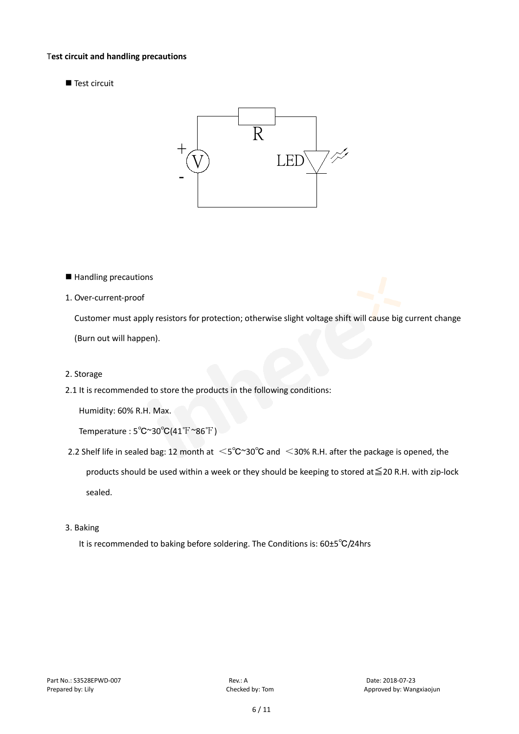#### T**est circuit and handling precautions**

■ Test circuit



- Handling precautions
- 1. Over-current-proof

Customer must apply resistors for protection; otherwise slight voltage shift will cause big current change (Burn out will happen).

- 2. Storage
- 2.1 It is recommended to store the products in the following conditions:

Humidity: 60% R.H. Max.

Temperature : 5℃~30℃(41℉~86℉)

- 2.2 Shelf life in sealed bag: 12 month at <5℃~30°C and <30% R.H. after the package is opened, the products should be used within a week or they should be keeping to stored at≦20 R.H. with zip-lock sealed.
- 3. Baking

It is recommended to baking before soldering. The Conditions is: 60±5℃/24hrs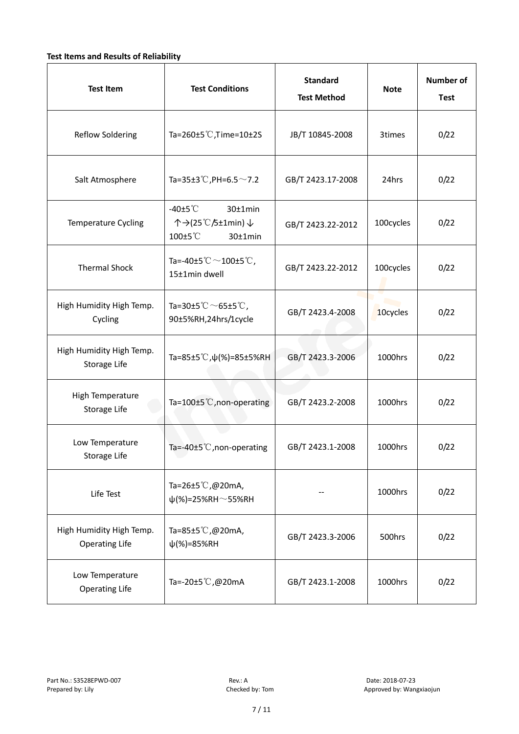# **Test Items and Results of Reliability**

| <b>Test Item</b>                                  | <b>Test Conditions</b>                                                         | <b>Standard</b><br><b>Test Method</b> | <b>Note</b> | <b>Number of</b><br><b>Test</b> |
|---------------------------------------------------|--------------------------------------------------------------------------------|---------------------------------------|-------------|---------------------------------|
| <b>Reflow Soldering</b>                           | Ta=260±5 °C, Time=10±2S                                                        | JB/T 10845-2008                       | 3times      | 0/22                            |
| Salt Atmosphere                                   | Ta=35±3°C, PH=6.5 $\sim$ 7.2                                                   | GB/T 2423.17-2008                     | 24hrs       | 0/22                            |
| Temperature Cycling                               | -40 $±5^{\circ}$ C<br>$30±1$ min<br>个→(25℃/5±1min) ↓<br>100±5°C<br>$30±1$ min  | GB/T 2423.22-2012                     | 100cycles   | 0/22                            |
| <b>Thermal Shock</b>                              | Ta=-40±5 $\degree \text{C}$ $\sim$ 100±5 $\degree \text{C}$ ,<br>15±1min dwell | GB/T 2423.22-2012                     | 100cycles   | 0/22                            |
| High Humidity High Temp.<br>Cycling               | Ta=30±5 °C $\sim$ 65±5 °C,<br>90±5%RH,24hrs/1cycle                             | GB/T 2423.4-2008                      | 10cycles    | 0/22                            |
| High Humidity High Temp.<br>Storage Life          | Ta=85±5 °C, $\psi$ (%)=85±5%RH                                                 | GB/T 2423.3-2006                      | 1000hrs     | 0/22                            |
| High Temperature<br>Storage Life                  | Ta=100±5°C, non-operating                                                      | GB/T 2423.2-2008                      | 1000hrs     | 0/22                            |
| Low Temperature<br>Storage Life                   | Ta=-40±5 $°C$ , non-operating                                                  | GB/T 2423.1-2008                      | 1000hrs     | 0/22                            |
| Life Test                                         | Ta=26±5 °C,@20mA,<br>$\psi$ (%)=25%RH~55%RH                                    |                                       | 1000hrs     | 0/22                            |
| High Humidity High Temp.<br><b>Operating Life</b> | Ta=85±5 $\degree$ C, @20mA,<br>$\psi$ (%)=85%RH                                | GB/T 2423.3-2006                      | 500hrs      | 0/22                            |
| Low Temperature<br><b>Operating Life</b>          | Ta=-20±5 °C,@20mA                                                              | GB/T 2423.1-2008                      | 1000hrs     | 0/22                            |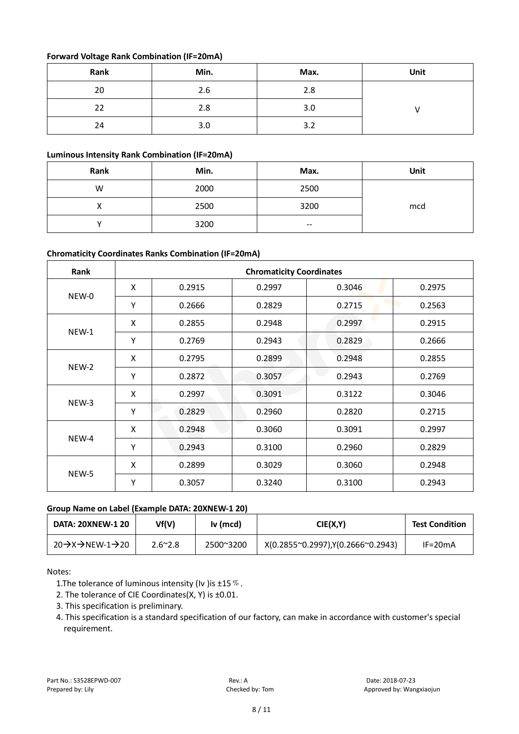# **Forward Voltage Rank Combination (IF=20mA)**

| Rank | Min. | Max. | Unit |
|------|------|------|------|
| 20   | 2.6  | 2.8  |      |
| 22   | 2.8  | 3.0  |      |
| 24   | 3.0  | 3.2  |      |

# **Luminous Intensity Rank Combination (IF=20mA)**

| Rank | Min. | Max.                     | Unit |
|------|------|--------------------------|------|
| W    | 2000 | 2500                     |      |
|      | 2500 | 3200                     | mcd  |
|      | 3200 | $\overline{\phantom{m}}$ |      |

# **Chromaticity Coordinates Ranks Combination (IF=20mA)**

| Rank  | <b>Chromaticity Coordinates</b> |        |        |        |        |  |  |
|-------|---------------------------------|--------|--------|--------|--------|--|--|
|       | X                               | 0.2915 | 0.2997 | 0.3046 | 0.2975 |  |  |
| NEW-0 | Υ                               | 0.2666 | 0.2829 | 0.2715 | 0.2563 |  |  |
|       | X                               | 0.2855 | 0.2948 | 0.2997 | 0.2915 |  |  |
| NEW-1 | Υ                               | 0.2769 | 0.2943 | 0.2829 | 0.2666 |  |  |
|       | X                               | 0.2795 | 0.2899 | 0.2948 | 0.2855 |  |  |
| NEW-2 | Υ                               | 0.2872 | 0.3057 | 0.2943 | 0.2769 |  |  |
|       | X                               | 0.2997 | 0.3091 | 0.3122 | 0.3046 |  |  |
| NEW-3 | Y                               | 0.2829 | 0.2960 | 0.2820 | 0.2715 |  |  |
|       | X                               | 0.2948 | 0.3060 | 0.3091 | 0.2997 |  |  |
| NEW-4 | Υ                               | 0.2943 | 0.3100 | 0.2960 | 0.2829 |  |  |
| NEW-5 | X                               | 0.2899 | 0.3029 | 0.3060 | 0.2948 |  |  |
|       | Υ                               | 0.3057 | 0.3240 | 0.3100 | 0.2943 |  |  |

## **Group Name on Label (Example DATA: 20XNEW-1 20)**

| <b>DATA: 20XNEW-1 20</b>                              | Vf(V)           | Iv (mcd)  | CIE(X,Y)                          | <b>Test Condition</b> |
|-------------------------------------------------------|-----------------|-----------|-----------------------------------|-----------------------|
| $20 \rightarrow X \rightarrow$ NEW-1 $\rightarrow$ 20 | $2.6^{\sim}2.8$ | 2500~3200 | X(0.2855~0.2997),Y(0.2666~0.2943) | IF=20mA               |

Notes:

1. The tolerance of luminous intensity (Iv ) is  $\pm 15\%$ .

2. The tolerance of CIE Coordinates(X, Y) is ±0.01.

- 3. This specification is preliminary.
- 4. This specification is a standard specification of our factory, can make in accordance with customer's special requirement.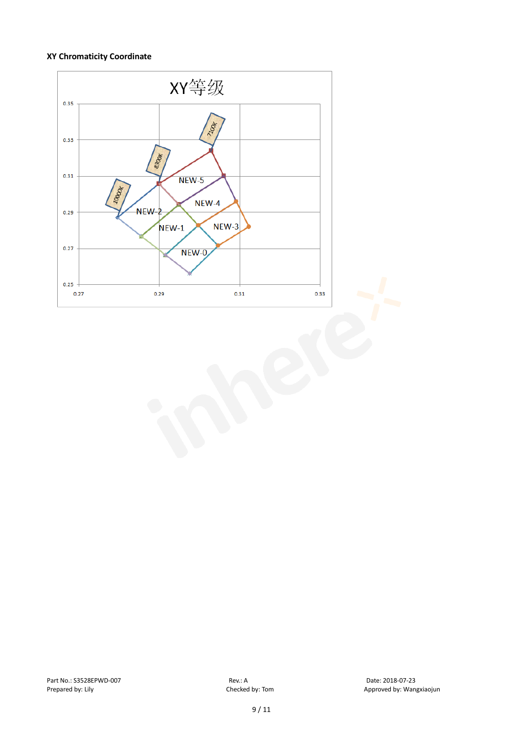#### **XY Chromaticity Coordinate**

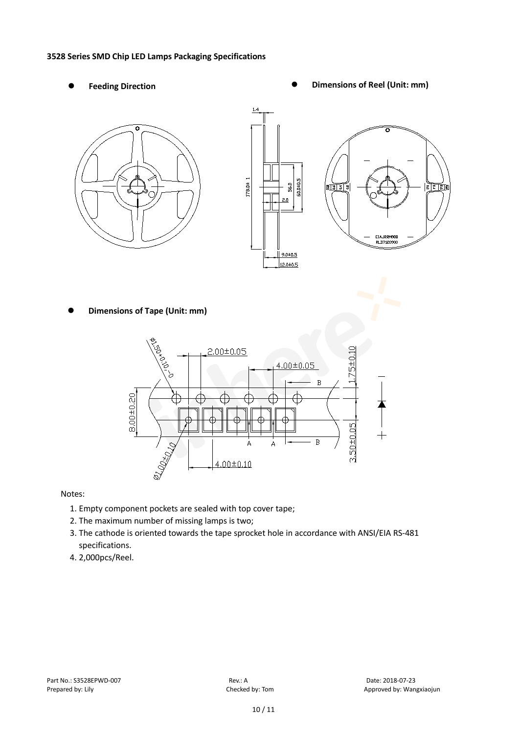#### **3528 Series SMD Chip LED Lamps Packaging Specifications**

- 
- Feeding Direction **Constanting Constanting Constanting Constanting Constanting Constanting Constanting Constanting Constanting Constanting Constanting Constanting Constanting Constanting Constanting Constanting Constanting**

ន $\overline{\mathbb{R}}$ 





**Dimensions of Tape (Unit: mm)**



Notes:

- 1. Empty component pockets are sealed with top cover tape;
- 2. The maximum number of missing lamps is two;
- 3. The cathode is oriented towards the tape sprocket hole in accordance with ANSI/EIA RS-481 specifications.
- 4. 2,000pcs/Reel.